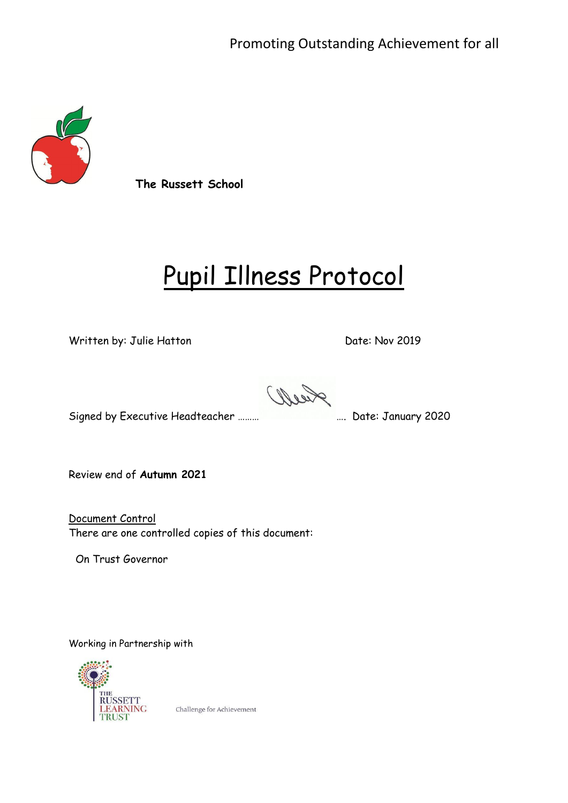

**The Russett School**

# Pupil Illness Protocol

Written by: Julie Hatton Date: Nov 2019

Reell

Signed by Executive Headteacher ……… **Executive Headteacher ……… Executive Headteacher 2020** 

Review end of **Autumn 2021**

Document Control There are one controlled copies of this document:

On Trust Governor

Working in Partnership with



Challenge for Achievement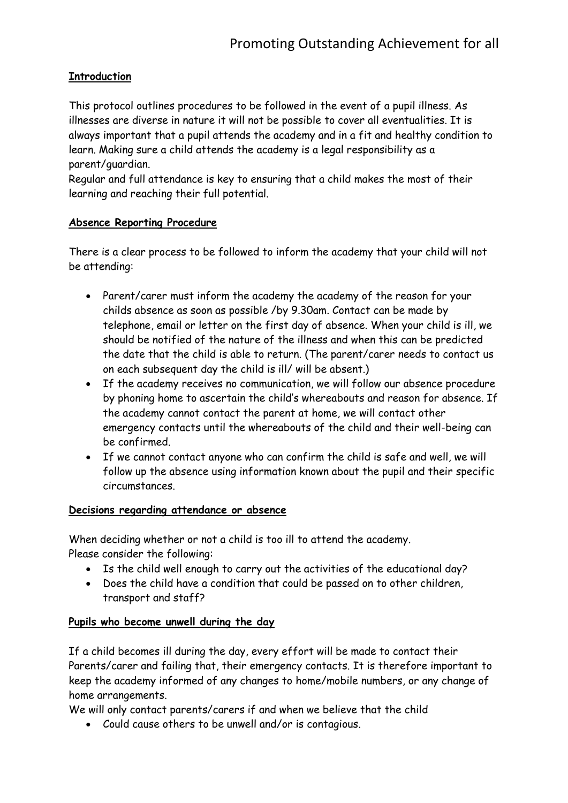#### **Introduction**

This protocol outlines procedures to be followed in the event of a pupil illness. As illnesses are diverse in nature it will not be possible to cover all eventualities. It is always important that a pupil attends the academy and in a fit and healthy condition to learn. Making sure a child attends the academy is a legal responsibility as a parent/guardian.

Regular and full attendance is key to ensuring that a child makes the most of their learning and reaching their full potential.

#### **Absence Reporting Procedure**

There is a clear process to be followed to inform the academy that your child will not be attending:

- Parent/carer must inform the academy the academy of the reason for your childs absence as soon as possible /by 9.30am. Contact can be made by telephone, email or letter on the first day of absence. When your child is ill, we should be notified of the nature of the illness and when this can be predicted the date that the child is able to return. (The parent/carer needs to contact us on each subsequent day the child is ill/ will be absent.)
- If the academy receives no communication, we will follow our absence procedure by phoning home to ascertain the child's whereabouts and reason for absence. If the academy cannot contact the parent at home, we will contact other emergency contacts until the whereabouts of the child and their well-being can be confirmed.
- If we cannot contact anyone who can confirm the child is safe and well, we will follow up the absence using information known about the pupil and their specific circumstances.

#### **Decisions regarding attendance or absence**

When deciding whether or not a child is too ill to attend the academy. Please consider the following:

- Is the child well enough to carry out the activities of the educational day?
- Does the child have a condition that could be passed on to other children, transport and staff?

#### **Pupils who become unwell during the day**

If a child becomes ill during the day, every effort will be made to contact their Parents/carer and failing that, their emergency contacts. It is therefore important to keep the academy informed of any changes to home/mobile numbers, or any change of home arrangements.

We will only contact parents/carers if and when we believe that the child

Could cause others to be unwell and/or is contagious.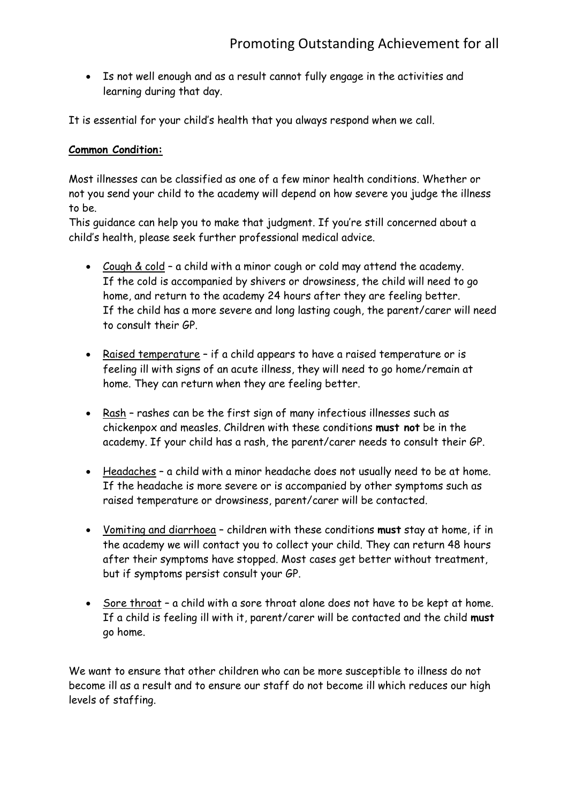Is not well enough and as a result cannot fully engage in the activities and learning during that day.

It is essential for your child's health that you always respond when we call.

#### **Common Condition:**

Most illnesses can be classified as one of a few minor health conditions. Whether or not you send your child to the academy will depend on how severe you judge the illness to be.

This guidance can help you to make that judgment. If you're still concerned about a child's health, please seek further professional medical advice.

- Cough & cold a child with a minor cough or cold may attend the academy. If the cold is accompanied by shivers or drowsiness, the child will need to go home, and return to the academy 24 hours after they are feeling better. If the child has a more severe and long lasting cough, the parent/carer will need to consult their GP.
- Raised temperature if a child appears to have a raised temperature or is feeling ill with signs of an acute illness, they will need to go home/remain at home. They can return when they are feeling better.
- Rash rashes can be the first sign of many infectious illnesses such as chickenpox and measles. Children with these conditions **must not** be in the academy. If your child has a rash, the parent/carer needs to consult their GP.
- Headaches a child with a minor headache does not usually need to be at home. If the headache is more severe or is accompanied by other symptoms such as raised temperature or drowsiness, parent/carer will be contacted.
- Vomiting and diarrhoea children with these conditions **must** stay at home, if in the academy we will contact you to collect your child. They can return 48 hours after their symptoms have stopped. Most cases get better without treatment, but if symptoms persist consult your GP.
- Sore throat a child with a sore throat alone does not have to be kept at home. If a child is feeling ill with it, parent/carer will be contacted and the child **must** go home.

We want to ensure that other children who can be more susceptible to illness do not become ill as a result and to ensure our staff do not become ill which reduces our high levels of staffing.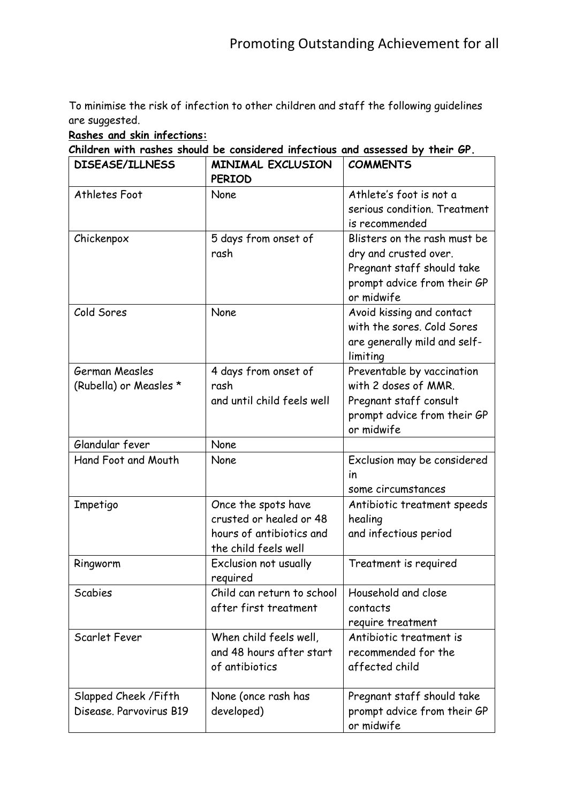To minimise the risk of infection to other children and staff the following guidelines are suggested.

#### **Rashes and skin infections:**

**Children with rashes should be considered infectious and assessed by their GP.**

| <b>DISEASE/ILLNESS</b>                           | <b>MINIMAL EXCLUSION</b><br><b>PERIOD</b>                                                          | <b>COMMENTS</b>                                                                                                                  |
|--------------------------------------------------|----------------------------------------------------------------------------------------------------|----------------------------------------------------------------------------------------------------------------------------------|
| Athletes Foot                                    | None                                                                                               | Athlete's foot is not a<br>serious condition. Treatment<br>is recommended                                                        |
| Chickenpox                                       | 5 days from onset of<br>rash                                                                       | Blisters on the rash must be<br>dry and crusted over.<br>Pregnant staff should take<br>prompt advice from their GP<br>or midwife |
| Cold Sores                                       | None                                                                                               | Avoid kissing and contact<br>with the sores. Cold Sores<br>are generally mild and self-<br>limiting                              |
| German Measles<br>(Rubella) or Measles *         | 4 days from onset of<br>rash<br>and until child feels well                                         | Preventable by vaccination<br>with 2 doses of MMR.<br>Pregnant staff consult<br>prompt advice from their GP<br>or midwife        |
| Glandular fever                                  | None                                                                                               |                                                                                                                                  |
| Hand Foot and Mouth                              | None                                                                                               | Exclusion may be considered<br>in<br>some circumstances                                                                          |
| Impetigo                                         | Once the spots have<br>crusted or healed or 48<br>hours of antibiotics and<br>the child feels well | Antibiotic treatment speeds<br>healing<br>and infectious period                                                                  |
| Ringworm                                         | Exclusion not usually<br>required                                                                  | Treatment is required                                                                                                            |
| Scabies                                          | Child can return to school<br>after first treatment                                                | Household and close<br>contacts<br>require treatment                                                                             |
| Scarlet Fever                                    | When child feels well,<br>and 48 hours after start<br>of antibiotics                               | Antibiotic treatment is<br>recommended for the<br>affected child                                                                 |
| Slapped Cheek / Fifth<br>Disease, Parvovirus B19 | None (once rash has<br>developed)                                                                  | Pregnant staff should take<br>prompt advice from their GP<br>or midwife                                                          |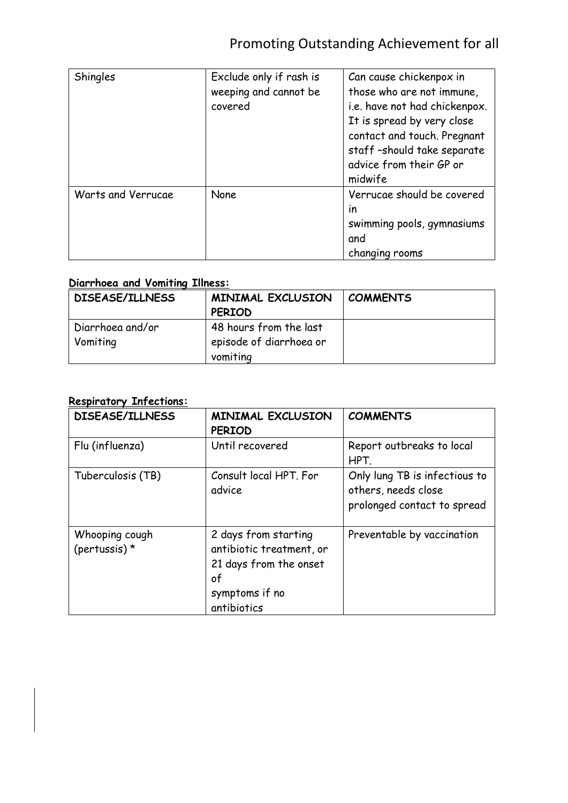# Promoting Outstanding Achievement for all

| Shingles           | Exclude only if rash is<br>weeping and cannot be<br>covered | Can cause chickenpox in<br>those who are not immune,<br>i.e. have not had chickenpox.<br>It is spread by very close<br>contact and touch. Pregnant<br>staff-should take separate<br>advice from their GP or<br>midwife |
|--------------------|-------------------------------------------------------------|------------------------------------------------------------------------------------------------------------------------------------------------------------------------------------------------------------------------|
| Warts and Verrucae | None                                                        | Verrucae should be covered<br>in<br>swimming pools, gymnasiums<br>and<br>changing rooms                                                                                                                                |

### **Diarrhoea and Vomiting Illness:**

| <b>DISEASE/ILLNESS</b> | <b>MINIMAL EXCLUSION</b> | <b>COMMENTS</b> |
|------------------------|--------------------------|-----------------|
|                        | <b>PERIOD</b>            |                 |
| Diarrhoea and/or       | 48 hours from the last   |                 |
| Vomiting               | episode of diarrhoea or  |                 |
|                        | vomiting                 |                 |

#### **Respiratory Infections:**

| <b>DISEASE/ILLNESS</b>            | <b>MINIMAL EXCLUSION</b><br><b>PERIOD</b>                                                                         | <b>COMMENTS</b>                                                                     |
|-----------------------------------|-------------------------------------------------------------------------------------------------------------------|-------------------------------------------------------------------------------------|
| Flu (influenza)                   | Until recovered                                                                                                   | Report outbreaks to local<br>HPT.                                                   |
| Tuberculosis (TB)                 | Consult local HPT. For<br>advice                                                                                  | Only lung TB is infectious to<br>others, needs close<br>prolonged contact to spread |
| Whooping cough<br>(pertussis) $*$ | 2 days from starting<br>antibiotic treatment, or<br>21 days from the onset<br>of<br>symptoms if no<br>antibiotics | Preventable by vaccination                                                          |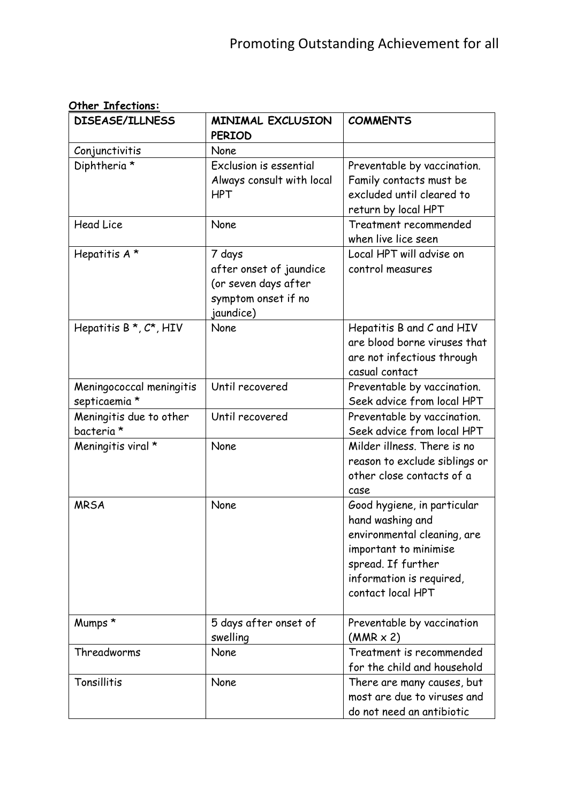| <b>DISEASE/ILLNESS</b>                    | <b>MINIMAL EXCLUSION</b><br><b>PERIOD</b>                                                     | <b>COMMENTS</b>                                                                                                                                                                |
|-------------------------------------------|-----------------------------------------------------------------------------------------------|--------------------------------------------------------------------------------------------------------------------------------------------------------------------------------|
| Conjunctivitis                            | None                                                                                          |                                                                                                                                                                                |
| Diphtheria *                              | Exclusion is essential<br>Always consult with local<br><b>HPT</b>                             | Preventable by vaccination.<br>Family contacts must be<br>excluded until cleared to<br>return by local HPT                                                                     |
| <b>Head Lice</b>                          | None                                                                                          | Treatment recommended<br>when live lice seen                                                                                                                                   |
| Hepatitis A*                              | 7 days<br>after onset of jaundice<br>(or seven days after<br>symptom onset if no<br>jaundice) | Local HPT will advise on<br>control measures                                                                                                                                   |
| Hepatitis $B^{\star}, C^{\star}$ , HIV    | None                                                                                          | Hepatitis B and C and HIV<br>are blood borne viruses that<br>are not infectious through<br>casual contact                                                                      |
| Meningococcal meningitis<br>septicaemia * | Until recovered                                                                               | Preventable by vaccination.<br>Seek advice from local HPT                                                                                                                      |
| Meningitis due to other<br>bacteria *     | Until recovered                                                                               | Preventable by vaccination.<br>Seek advice from local HPT                                                                                                                      |
| Meningitis viral *                        | None                                                                                          | Milder illness. There is no<br>reason to exclude siblings or<br>other close contacts of a<br>case                                                                              |
| <b>MRSA</b>                               | None                                                                                          | Good hygiene, in particular<br>hand washing and<br>environmental cleaning, are<br>important to minimise<br>spread. If further<br>information is required,<br>contact local HPT |
| Mumps *                                   | 5 days after onset of<br>swelling                                                             | Preventable by vaccination<br>$(MMR \times 2)$                                                                                                                                 |
| Threadworms                               | None                                                                                          | Treatment is recommended<br>for the child and household                                                                                                                        |
| Tonsillitis                               | None                                                                                          | There are many causes, but<br>most are due to viruses and<br>do not need an antibiotic                                                                                         |

#### **Other Infections:**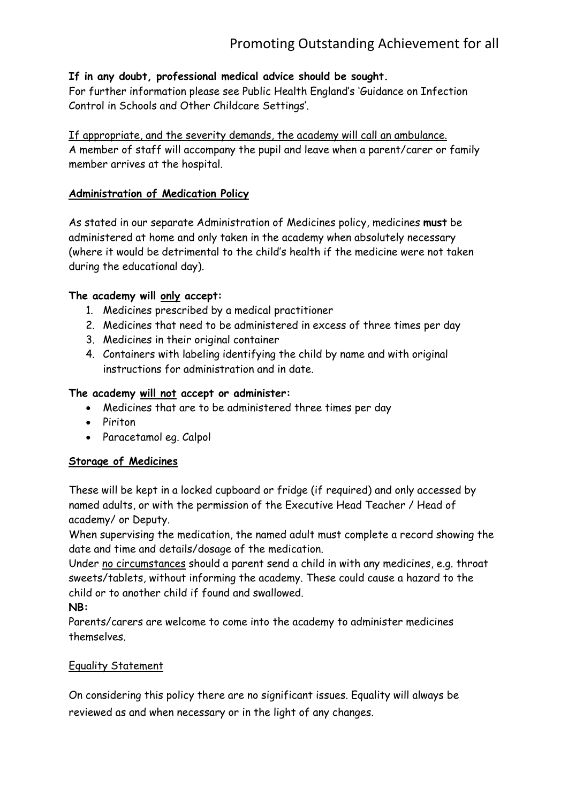#### **If in any doubt, professional medical advice should be sought.**

For further information please see Public Health England's 'Guidance on Infection Control in Schools and Other Childcare Settings'.

#### If appropriate, and the severity demands, the academy will call an ambulance. A member of staff will accompany the pupil and leave when a parent/carer or family member arrives at the hospital.

#### **Administration of Medication Policy**

As stated in our separate Administration of Medicines policy, medicines **must** be administered at home and only taken in the academy when absolutely necessary (where it would be detrimental to the child's health if the medicine were not taken during the educational day).

#### **The academy will only accept:**

- 1. Medicines prescribed by a medical practitioner
- 2. Medicines that need to be administered in excess of three times per day
- 3. Medicines in their original container
- 4. Containers with labeling identifying the child by name and with original instructions for administration and in date.

#### **The academy will not accept or administer:**

- Medicines that are to be administered three times per day
- Piriton
- Paracetamol eg. Calpol

#### **Storage of Medicines**

These will be kept in a locked cupboard or fridge (if required) and only accessed by named adults, or with the permission of the Executive Head Teacher / Head of academy/ or Deputy.

When supervising the medication, the named adult must complete a record showing the date and time and details/dosage of the medication.

Under no circumstances should a parent send a child in with any medicines, e.g. throat sweets/tablets, without informing the academy. These could cause a hazard to the child or to another child if found and swallowed.

**NB:**

Parents/carers are welcome to come into the academy to administer medicines themselves.

#### Equality Statement

On considering this policy there are no significant issues. Equality will always be reviewed as and when necessary or in the light of any changes.